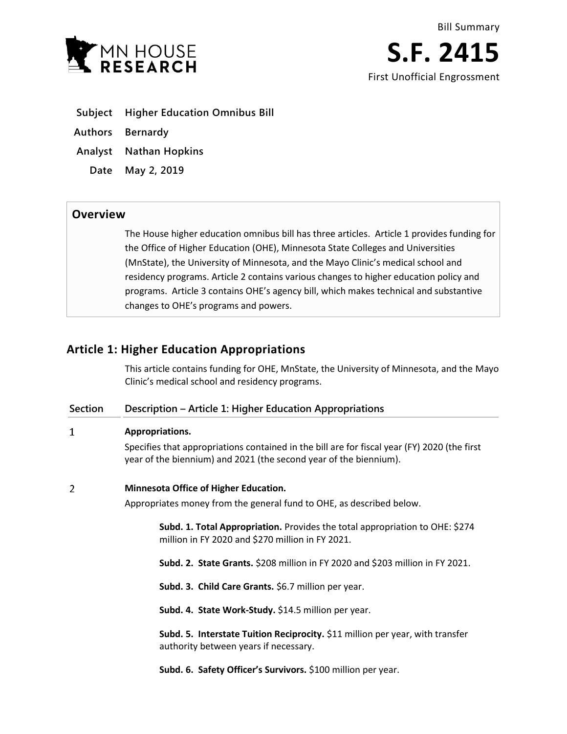

**S.F. 2415** First Unofficial Engrossment

- **Subject Higher Education Omnibus Bill**
- **Authors Bernardy**
- **Analyst Nathan Hopkins**
	- **Date May 2, 2019**

## **Overview**

The House higher education omnibus bill has three articles. Article 1 provides funding for the Office of Higher Education (OHE), Minnesota State Colleges and Universities (MnState), the University of Minnesota, and the Mayo Clinic's medical school and residency programs. Article 2 contains various changes to higher education policy and programs. Article 3 contains OHE's agency bill, which makes technical and substantive changes to OHE's programs and powers.

# **Article 1: Higher Education Appropriations**

This article contains funding for OHE, MnState, the University of Minnesota, and the Mayo Clinic's medical school and residency programs.

### **Section Description – Article 1: Higher Education Appropriations**

#### $\mathbf{1}$ **Appropriations.**

Specifies that appropriations contained in the bill are for fiscal year (FY) 2020 (the first year of the biennium) and 2021 (the second year of the biennium).

#### $\overline{2}$ **Minnesota Office of Higher Education.**

Appropriates money from the general fund to OHE, as described below.

**Subd. 1. Total Appropriation.** Provides the total appropriation to OHE: \$274 million in FY 2020 and \$270 million in FY 2021.

**Subd. 2. State Grants.** \$208 million in FY 2020 and \$203 million in FY 2021.

**Subd. 3. Child Care Grants.** \$6.7 million per year.

**Subd. 4. State Work-Study.** \$14.5 million per year.

**Subd. 5. Interstate Tuition Reciprocity.** \$11 million per year, with transfer authority between years if necessary.

**Subd. 6. Safety Officer's Survivors.** \$100 million per year.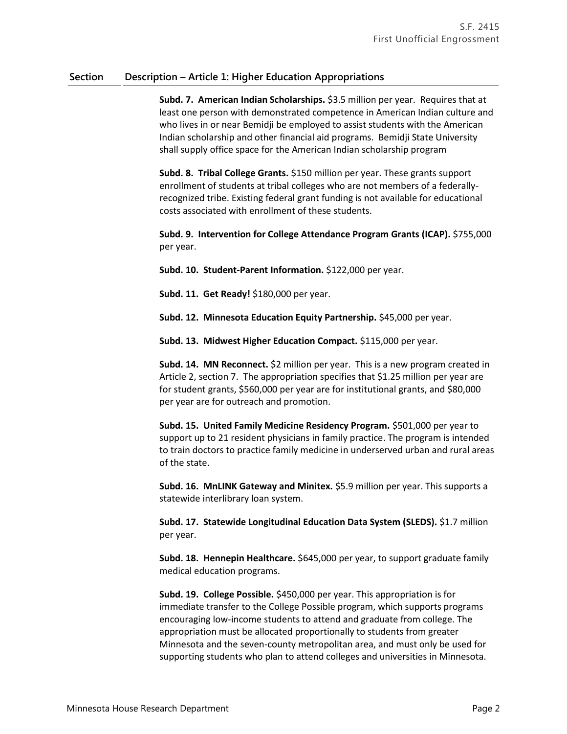**Subd. 7. American Indian Scholarships.** \$3.5 million per year. Requires that at least one person with demonstrated competence in American Indian culture and who lives in or near Bemidji be employed to assist students with the American Indian scholarship and other financial aid programs. Bemidji State University shall supply office space for the American Indian scholarship program

**Subd. 8. Tribal College Grants.** \$150 million per year. These grants support enrollment of students at tribal colleges who are not members of a federallyrecognized tribe. Existing federal grant funding is not available for educational costs associated with enrollment of these students.

**Subd. 9. Intervention for College Attendance Program Grants (ICAP).** \$755,000 per year.

**Subd. 10. Student-Parent Information.** \$122,000 per year.

**Subd. 11. Get Ready!** \$180,000 per year.

**Subd. 12. Minnesota Education Equity Partnership.** \$45,000 per year.

**Subd. 13. Midwest Higher Education Compact.** \$115,000 per year.

**Subd. 14. MN Reconnect.** \$2 million per year. This is a new program created in Article 2, section 7. The appropriation specifies that \$1.25 million per year are for student grants, \$560,000 per year are for institutional grants, and \$80,000 per year are for outreach and promotion.

**Subd. 15. United Family Medicine Residency Program.** \$501,000 per year to support up to 21 resident physicians in family practice. The program is intended to train doctors to practice family medicine in underserved urban and rural areas of the state.

**Subd. 16. MnLINK Gateway and Minitex.** \$5.9 million per year. This supports a statewide interlibrary loan system.

**Subd. 17. Statewide Longitudinal Education Data System (SLEDS).** \$1.7 million per year.

**Subd. 18. Hennepin Healthcare.** \$645,000 per year, to support graduate family medical education programs.

**Subd. 19. College Possible.** \$450,000 per year. This appropriation is for immediate transfer to the College Possible program, which supports programs encouraging low-income students to attend and graduate from college. The appropriation must be allocated proportionally to students from greater Minnesota and the seven-county metropolitan area, and must only be used for supporting students who plan to attend colleges and universities in Minnesota.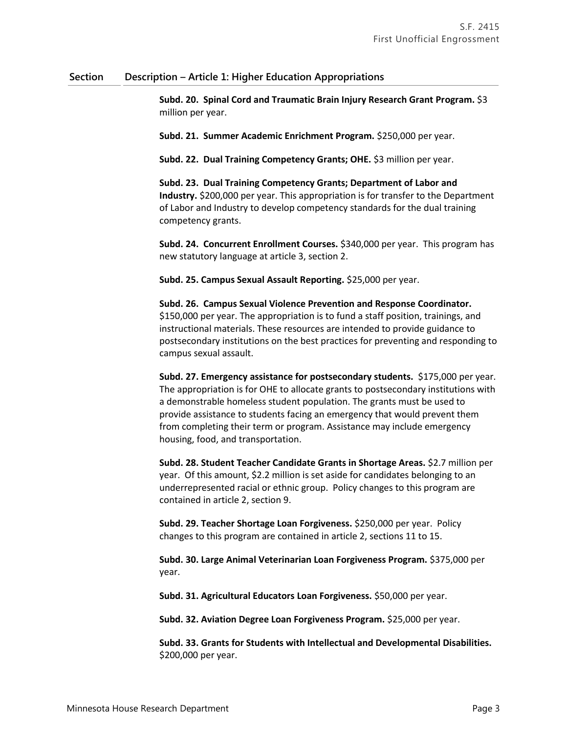**Subd. 20. Spinal Cord and Traumatic Brain Injury Research Grant Program.** \$3 million per year.

**Subd. 21. Summer Academic Enrichment Program.** \$250,000 per year.

**Subd. 22. Dual Training Competency Grants; OHE.** \$3 million per year.

**Subd. 23. Dual Training Competency Grants; Department of Labor and Industry.** \$200,000 per year. This appropriation is for transfer to the Department of Labor and Industry to develop competency standards for the dual training competency grants.

**Subd. 24. Concurrent Enrollment Courses.** \$340,000 per year. This program has new statutory language at article 3, section 2.

**Subd. 25. Campus Sexual Assault Reporting.** \$25,000 per year.

**Subd. 26. Campus Sexual Violence Prevention and Response Coordinator.** \$150,000 per year. The appropriation is to fund a staff position, trainings, and instructional materials. These resources are intended to provide guidance to postsecondary institutions on the best practices for preventing and responding to campus sexual assault.

**Subd. 27. Emergency assistance for postsecondary students.** \$175,000 per year. The appropriation is for OHE to allocate grants to postsecondary institutions with a demonstrable homeless student population. The grants must be used to provide assistance to students facing an emergency that would prevent them from completing their term or program. Assistance may include emergency housing, food, and transportation.

**Subd. 28. Student Teacher Candidate Grants in Shortage Areas.** \$2.7 million per year. Of this amount, \$2.2 million is set aside for candidates belonging to an underrepresented racial or ethnic group. Policy changes to this program are contained in article 2, section 9.

**Subd. 29. Teacher Shortage Loan Forgiveness.** \$250,000 per year. Policy changes to this program are contained in article 2, sections 11 to 15.

**Subd. 30. Large Animal Veterinarian Loan Forgiveness Program.** \$375,000 per year.

**Subd. 31. Agricultural Educators Loan Forgiveness.** \$50,000 per year.

**Subd. 32. Aviation Degree Loan Forgiveness Program.** \$25,000 per year.

**Subd. 33. Grants for Students with Intellectual and Developmental Disabilities.** \$200,000 per year.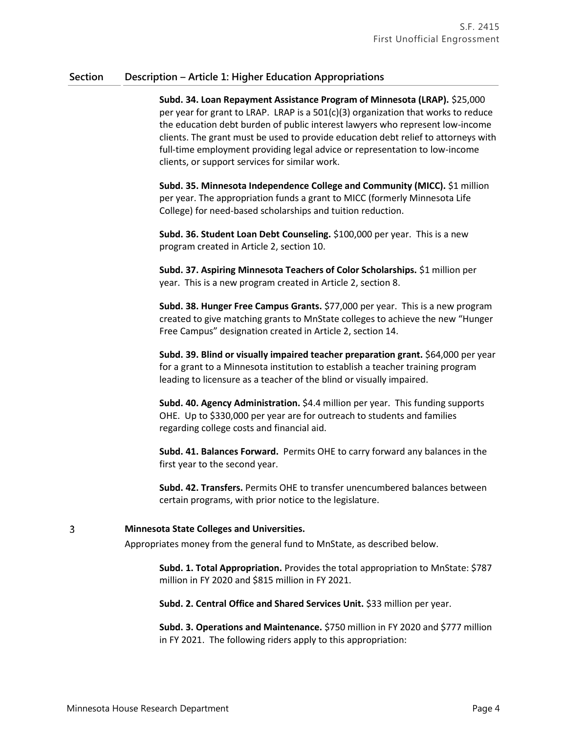**Subd. 34. Loan Repayment Assistance Program of Minnesota (LRAP).** \$25,000 per year for grant to LRAP. LRAP is a 501(c)(3) organization that works to reduce the education debt burden of public interest lawyers who represent low-income clients. The grant must be used to provide education debt relief to attorneys with full-time employment providing legal advice or representation to low-income clients, or support services for similar work.

**Subd. 35. Minnesota Independence College and Community (MICC).** \$1 million per year. The appropriation funds a grant to MICC (formerly Minnesota Life College) for need-based scholarships and tuition reduction.

**Subd. 36. Student Loan Debt Counseling.** \$100,000 per year. This is a new program created in Article 2, section 10.

**Subd. 37. Aspiring Minnesota Teachers of Color Scholarships.** \$1 million per year. This is a new program created in Article 2, section 8.

**Subd. 38. Hunger Free Campus Grants.** \$77,000 per year. This is a new program created to give matching grants to MnState colleges to achieve the new "Hunger Free Campus" designation created in Article 2, section 14.

**Subd. 39. Blind or visually impaired teacher preparation grant.** \$64,000 per year for a grant to a Minnesota institution to establish a teacher training program leading to licensure as a teacher of the blind or visually impaired.

**Subd. 40. Agency Administration.** \$4.4 million per year. This funding supports OHE. Up to \$330,000 per year are for outreach to students and families regarding college costs and financial aid.

**Subd. 41. Balances Forward.** Permits OHE to carry forward any balances in the first year to the second year.

**Subd. 42. Transfers.** Permits OHE to transfer unencumbered balances between certain programs, with prior notice to the legislature.

### **Minnesota State Colleges and Universities.**

Appropriates money from the general fund to MnState, as described below.

**Subd. 1. Total Appropriation.** Provides the total appropriation to MnState: \$787 million in FY 2020 and \$815 million in FY 2021.

**Subd. 2. Central Office and Shared Services Unit.** \$33 million per year.

**Subd. 3. Operations and Maintenance.** \$750 million in FY 2020 and \$777 million in FY 2021. The following riders apply to this appropriation:

3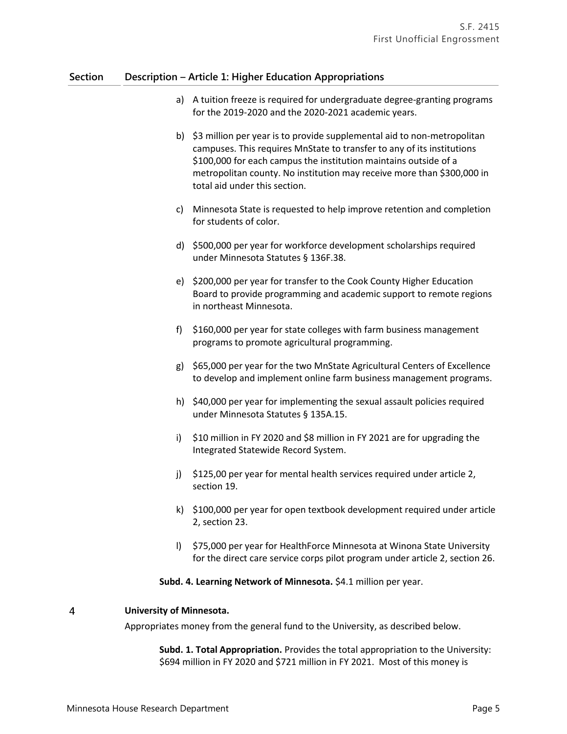- a) A tuition freeze is required for undergraduate degree-granting programs for the 2019-2020 and the 2020-2021 academic years.
- b) \$3 million per year is to provide supplemental aid to non-metropolitan campuses. This requires MnState to transfer to any of its institutions \$100,000 for each campus the institution maintains outside of a metropolitan county. No institution may receive more than \$300,000 in total aid under this section.
- c) Minnesota State is requested to help improve retention and completion for students of color.
- d) \$500,000 per year for workforce development scholarships required under Minnesota Statutes § 136F.38.
- e) \$200,000 per year for transfer to the Cook County Higher Education Board to provide programming and academic support to remote regions in northeast Minnesota.
- f) \$160,000 per year for state colleges with farm business management programs to promote agricultural programming.
- g) \$65,000 per year for the two MnState Agricultural Centers of Excellence to develop and implement online farm business management programs.
- h) \$40,000 per year for implementing the sexual assault policies required under Minnesota Statutes § 135A.15.
- i) \$10 million in FY 2020 and \$8 million in FY 2021 are for upgrading the Integrated Statewide Record System.
- j) \$125,00 per year for mental health services required under article 2, section 19.
- k) \$100,000 per year for open textbook development required under article 2, section 23.
- l) \$75,000 per year for HealthForce Minnesota at Winona State University for the direct care service corps pilot program under article 2, section 26.

### **Subd. 4. Learning Network of Minnesota.** \$4.1 million per year.

#### $\overline{4}$ **University of Minnesota.**

Appropriates money from the general fund to the University, as described below.

**Subd. 1. Total Appropriation.** Provides the total appropriation to the University: \$694 million in FY 2020 and \$721 million in FY 2021. Most of this money is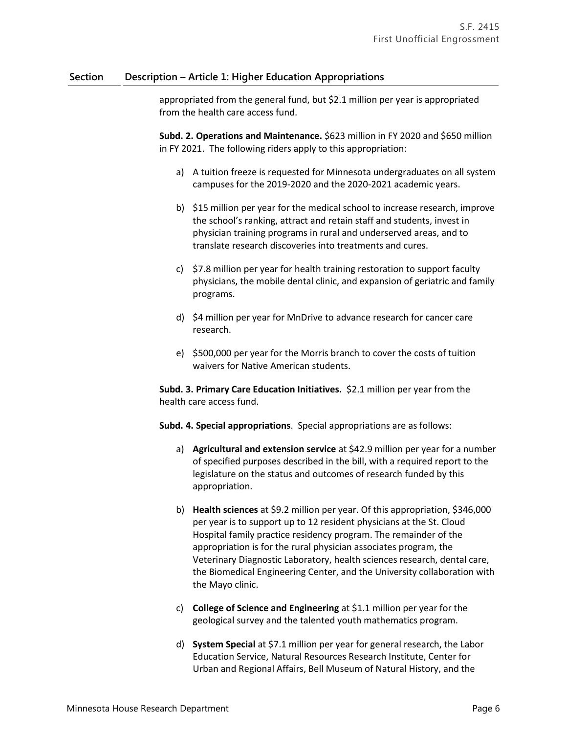appropriated from the general fund, but \$2.1 million per year is appropriated from the health care access fund.

**Subd. 2. Operations and Maintenance.** \$623 million in FY 2020 and \$650 million in FY 2021. The following riders apply to this appropriation:

- a) A tuition freeze is requested for Minnesota undergraduates on all system campuses for the 2019-2020 and the 2020-2021 academic years.
- b) \$15 million per year for the medical school to increase research, improve the school's ranking, attract and retain staff and students, invest in physician training programs in rural and underserved areas, and to translate research discoveries into treatments and cures.
- c) \$7.8 million per year for health training restoration to support faculty physicians, the mobile dental clinic, and expansion of geriatric and family programs.
- d) \$4 million per year for MnDrive to advance research for cancer care research.
- e) \$500,000 per year for the Morris branch to cover the costs of tuition waivers for Native American students.

**Subd. 3. Primary Care Education Initiatives.** \$2.1 million per year from the health care access fund.

**Subd. 4. Special appropriations**. Special appropriations are as follows:

- a) **Agricultural and extension service** at \$42.9 million per year for a number of specified purposes described in the bill, with a required report to the legislature on the status and outcomes of research funded by this appropriation.
- b) **Health sciences** at \$9.2 million per year. Of this appropriation, \$346,000 per year is to support up to 12 resident physicians at the St. Cloud Hospital family practice residency program. The remainder of the appropriation is for the rural physician associates program, the Veterinary Diagnostic Laboratory, health sciences research, dental care, the Biomedical Engineering Center, and the University collaboration with the Mayo clinic.
- c) **College of Science and Engineering** at \$1.1 million per year for the geological survey and the talented youth mathematics program.
- d) **System Special** at \$7.1 million per year for general research, the Labor Education Service, Natural Resources Research Institute, Center for Urban and Regional Affairs, Bell Museum of Natural History, and the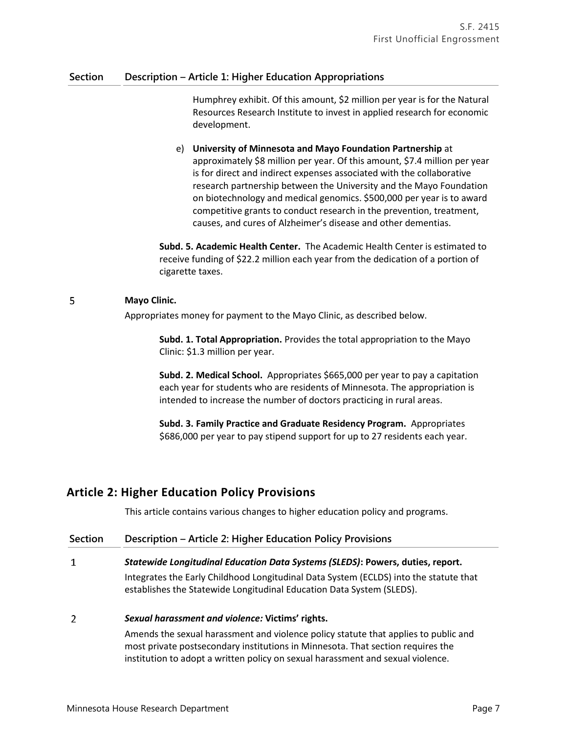Humphrey exhibit. Of this amount, \$2 million per year is for the Natural Resources Research Institute to invest in applied research for economic development.

e) **University of Minnesota and Mayo Foundation Partnership** at approximately \$8 million per year. Of this amount, \$7.4 million per year is for direct and indirect expenses associated with the collaborative research partnership between the University and the Mayo Foundation on biotechnology and medical genomics. \$500,000 per year is to award competitive grants to conduct research in the prevention, treatment, causes, and cures of Alzheimer's disease and other dementias.

**Subd. 5. Academic Health Center.** The Academic Health Center is estimated to receive funding of \$22.2 million each year from the dedication of a portion of cigarette taxes.

#### 5 **Mayo Clinic.**

Appropriates money for payment to the Mayo Clinic, as described below.

**Subd. 1. Total Appropriation.** Provides the total appropriation to the Mayo Clinic: \$1.3 million per year.

**Subd. 2. Medical School.** Appropriates \$665,000 per year to pay a capitation each year for students who are residents of Minnesota. The appropriation is intended to increase the number of doctors practicing in rural areas.

**Subd. 3. Family Practice and Graduate Residency Program.** Appropriates \$686,000 per year to pay stipend support for up to 27 residents each year.

# **Article 2: Higher Education Policy Provisions**

This article contains various changes to higher education policy and programs.

| <b>Section</b> | Description - Article 2: Higher Education Policy Provisions                                                                                                            |
|----------------|------------------------------------------------------------------------------------------------------------------------------------------------------------------------|
| 1              | Statewide Longitudinal Education Data Systems (SLEDS): Powers, duties, report.                                                                                         |
|                | Integrates the Early Childhood Longitudinal Data System (ECLDS) into the statute that<br>establishes the Statewide Longitudinal Education Data System (SLEDS).         |
| 2              | Sexual harassment and violence: Victims' rights.                                                                                                                       |
|                | Amends the sexual harassment and violence policy statute that applies to public and<br>most private postsecondary institutions in Minnesota. That section requires the |

institution to adopt a written policy on sexual harassment and sexual violence.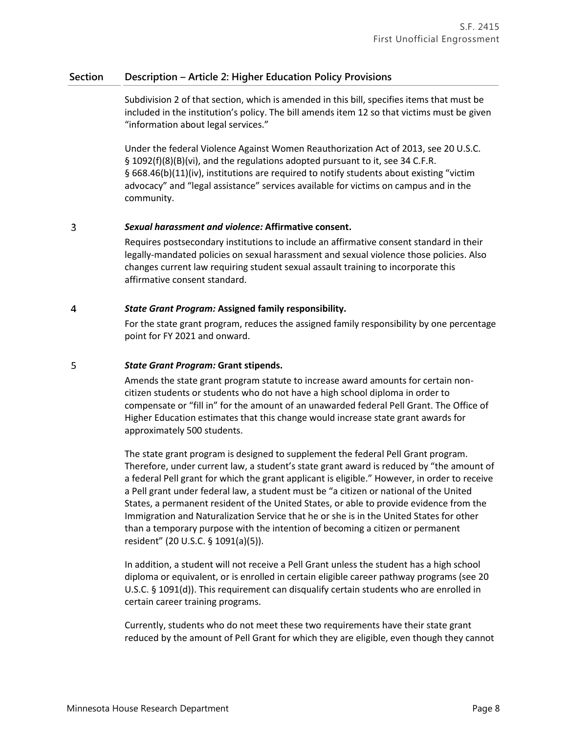Subdivision 2 of that section, which is amended in this bill, specifies items that must be included in the institution's policy. The bill amends item 12 so that victims must be given "information about legal services."

Under the federal Violence Against Women Reauthorization Act of 2013, see 20 U.S.C. § 1092(f)(8)(B)(vi), and the regulations adopted pursuant to it, see 34 C.F.R. § 668.46(b)(11)(iv), institutions are required to notify students about existing "victim advocacy" and "legal assistance" services available for victims on campus and in the community.

#### $\overline{3}$ *Sexual harassment and violence:* **Affirmative consent.**

Requires postsecondary institutions to include an affirmative consent standard in their legally-mandated policies on sexual harassment and sexual violence those policies. Also changes current law requiring student sexual assault training to incorporate this affirmative consent standard.

#### $\overline{4}$ *State Grant Program:* **Assigned family responsibility.**

For the state grant program, reduces the assigned family responsibility by one percentage point for FY 2021 and onward.

#### 5 *State Grant Program:* **Grant stipends.**

Amends the state grant program statute to increase award amounts for certain noncitizen students or students who do not have a high school diploma in order to compensate or "fill in" for the amount of an unawarded federal Pell Grant. The Office of Higher Education estimates that this change would increase state grant awards for approximately 500 students.

The state grant program is designed to supplement the federal Pell Grant program. Therefore, under current law, a student's state grant award is reduced by "the amount of a federal Pell grant for which the grant applicant is eligible." However, in order to receive a Pell grant under federal law, a student must be "a citizen or national of the United States, a permanent resident of the United States, or able to provide evidence from the Immigration and Naturalization Service that he or she is in the United States for other than a temporary purpose with the intention of becoming a citizen or permanent resident" (20 U.S.C. § 1091(a)(5)).

In addition, a student will not receive a Pell Grant unless the student has a high school diploma or equivalent, or is enrolled in certain eligible career pathway programs (see 20 U.S.C. § 1091(d)). This requirement can disqualify certain students who are enrolled in certain career training programs.

Currently, students who do not meet these two requirements have their state grant reduced by the amount of Pell Grant for which they are eligible, even though they cannot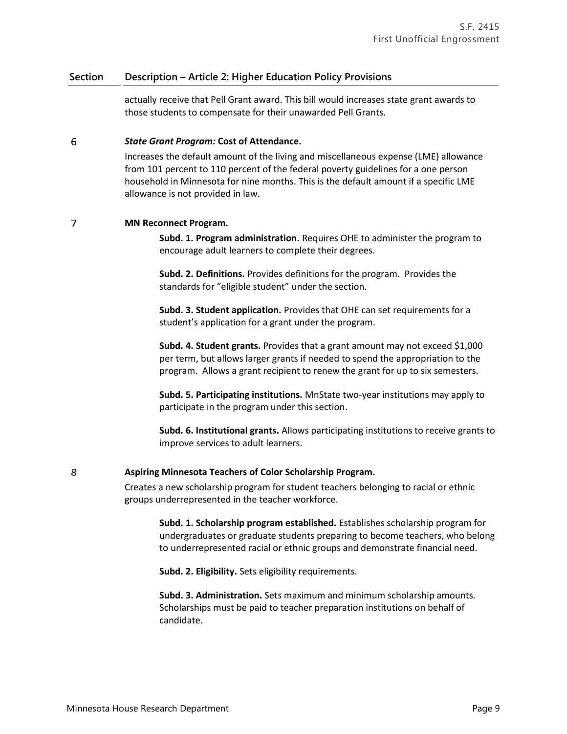actually receive that Pell Grant award. This bill would increases state grant awards to those students to compensate for their unawarded Pell Grants.

#### 6 *State Grant Program:* **Cost of Attendance.**

Increases the default amount of the living and miscellaneous expense (LME) allowance from 101 percent to 110 percent of the federal poverty guidelines for a one person household in Minnesota for nine months. This is the default amount if a specific LME allowance is not provided in law.

#### $\overline{7}$ **MN Reconnect Program.**

**Subd. 1. Program administration.** Requires OHE to administer the program to encourage adult learners to complete their degrees.

**Subd. 2. Definitions.** Provides definitions for the program. Provides the standards for "eligible student" under the section.

**Subd. 3. Student application.** Provides that OHE can set requirements for a student's application for a grant under the program.

**Subd. 4. Student grants.** Provides that a grant amount may not exceed \$1,000 per term, but allows larger grants if needed to spend the appropriation to the program. Allows a grant recipient to renew the grant for up to six semesters.

**Subd. 5. Participating institutions.** MnState two-year institutions may apply to participate in the program under this section.

**Subd. 6. Institutional grants.** Allows participating institutions to receive grants to improve services to adult learners.

#### 8 **Aspiring Minnesota Teachers of Color Scholarship Program.**

Creates a new scholarship program for student teachers belonging to racial or ethnic groups underrepresented in the teacher workforce.

**Subd. 1. Scholarship program established.** Establishes scholarship program for undergraduates or graduate students preparing to become teachers, who belong to underrepresented racial or ethnic groups and demonstrate financial need.

**Subd. 2. Eligibility.** Sets eligibility requirements.

**Subd. 3. Administration.** Sets maximum and minimum scholarship amounts. Scholarships must be paid to teacher preparation institutions on behalf of candidate.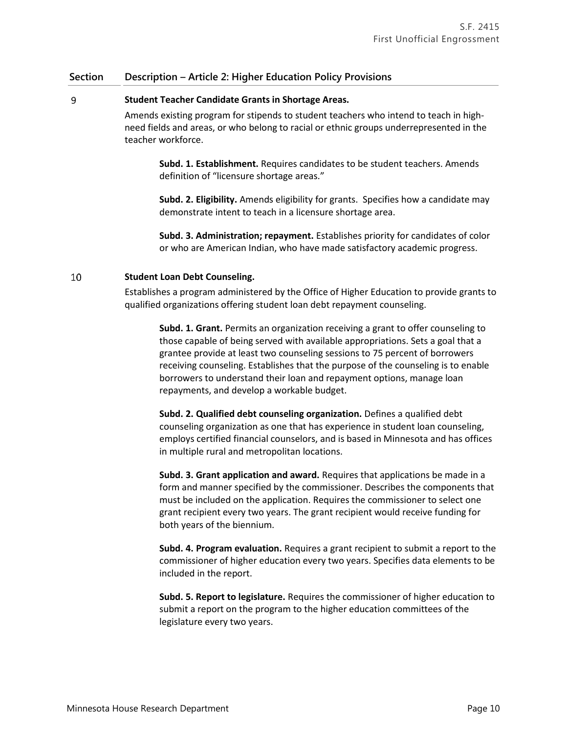#### 9 **Student Teacher Candidate Grants in Shortage Areas.**

Amends existing program for stipends to student teachers who intend to teach in highneed fields and areas, or who belong to racial or ethnic groups underrepresented in the teacher workforce.

**Subd. 1. Establishment.** Requires candidates to be student teachers. Amends definition of "licensure shortage areas."

**Subd. 2. Eligibility.** Amends eligibility for grants. Specifies how a candidate may demonstrate intent to teach in a licensure shortage area.

**Subd. 3. Administration; repayment.** Establishes priority for candidates of color or who are American Indian, who have made satisfactory academic progress.

#### 10 **Student Loan Debt Counseling.**

Establishes a program administered by the Office of Higher Education to provide grants to qualified organizations offering student loan debt repayment counseling.

**Subd. 1. Grant.** Permits an organization receiving a grant to offer counseling to those capable of being served with available appropriations. Sets a goal that a grantee provide at least two counseling sessions to 75 percent of borrowers receiving counseling. Establishes that the purpose of the counseling is to enable borrowers to understand their loan and repayment options, manage loan repayments, and develop a workable budget.

**Subd. 2. Qualified debt counseling organization.** Defines a qualified debt counseling organization as one that has experience in student loan counseling, employs certified financial counselors, and is based in Minnesota and has offices in multiple rural and metropolitan locations.

**Subd. 3. Grant application and award.** Requires that applications be made in a form and manner specified by the commissioner. Describes the components that must be included on the application. Requires the commissioner to select one grant recipient every two years. The grant recipient would receive funding for both years of the biennium.

**Subd. 4. Program evaluation.** Requires a grant recipient to submit a report to the commissioner of higher education every two years. Specifies data elements to be included in the report.

**Subd. 5. Report to legislature.** Requires the commissioner of higher education to submit a report on the program to the higher education committees of the legislature every two years.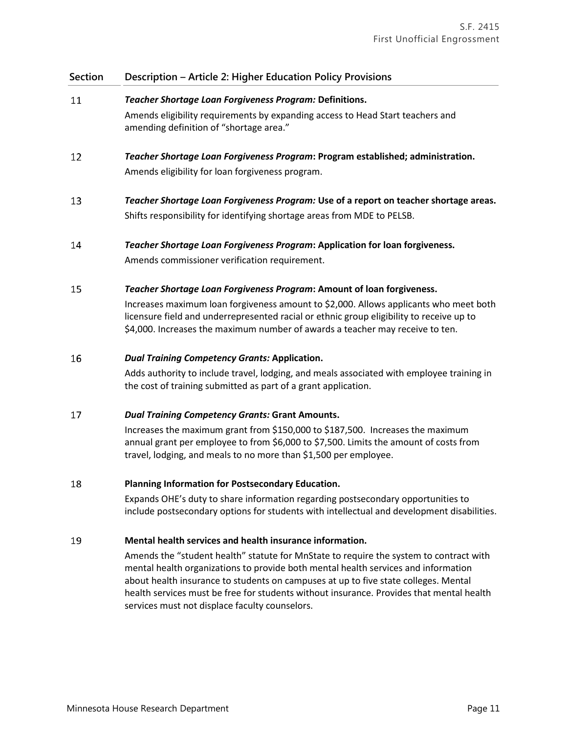- 11 *Teacher Shortage Loan Forgiveness Program:* **Definitions.**  Amends eligibility requirements by expanding access to Head Start teachers and amending definition of "shortage area."
- 12 *Teacher Shortage Loan Forgiveness Program***: Program established; administration.**  Amends eligibility for loan forgiveness program.
- 13 *Teacher Shortage Loan Forgiveness Program:* **Use of a report on teacher shortage areas.**  Shifts responsibility for identifying shortage areas from MDE to PELSB.
- 14 *Teacher Shortage Loan Forgiveness Program***: Application for loan forgiveness.** Amends commissioner verification requirement.

#### 15 *Teacher Shortage Loan Forgiveness Program***: Amount of loan forgiveness.**

Increases maximum loan forgiveness amount to \$2,000. Allows applicants who meet both licensure field and underrepresented racial or ethnic group eligibility to receive up to \$4,000. Increases the maximum number of awards a teacher may receive to ten.

#### 16 *Dual Training Competency Grants:* **Application.**

Adds authority to include travel, lodging, and meals associated with employee training in the cost of training submitted as part of a grant application.

#### 17 *Dual Training Competency Grants:* **Grant Amounts.**

Increases the maximum grant from \$150,000 to \$187,500. Increases the maximum annual grant per employee to from \$6,000 to \$7,500. Limits the amount of costs from travel, lodging, and meals to no more than \$1,500 per employee.

#### 18 **Planning Information for Postsecondary Education.**

Expands OHE's duty to share information regarding postsecondary opportunities to include postsecondary options for students with intellectual and development disabilities.

#### 19 **Mental health services and health insurance information.**

Amends the "student health" statute for MnState to require the system to contract with mental health organizations to provide both mental health services and information about health insurance to students on campuses at up to five state colleges. Mental health services must be free for students without insurance. Provides that mental health services must not displace faculty counselors.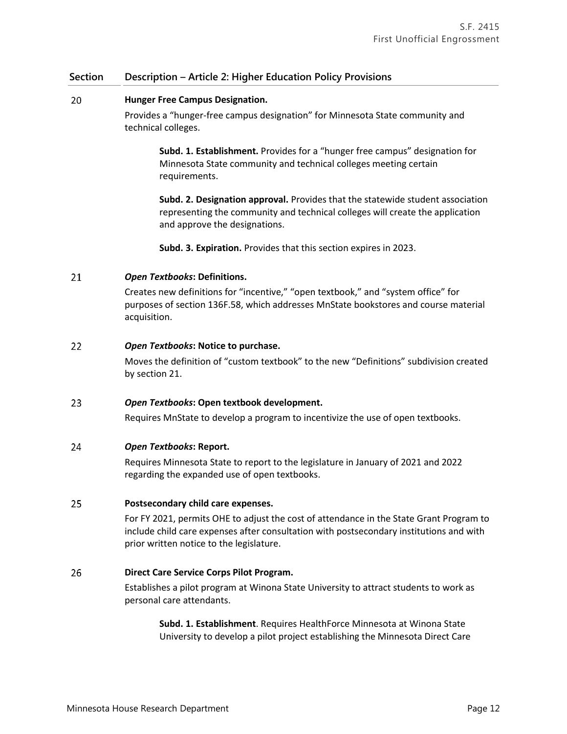#### 20 **Hunger Free Campus Designation.**

Provides a "hunger-free campus designation" for Minnesota State community and technical colleges.

**Subd. 1. Establishment.** Provides for a "hunger free campus" designation for Minnesota State community and technical colleges meeting certain requirements.

**Subd. 2. Designation approval.** Provides that the statewide student association representing the community and technical colleges will create the application and approve the designations.

**Subd. 3. Expiration.** Provides that this section expires in 2023.

#### 21 *Open Textbooks***: Definitions.**

Creates new definitions for "incentive," "open textbook," and "system office" for purposes of section 136F.58, which addresses MnState bookstores and course material acquisition.

#### 22 *Open Textbooks***: Notice to purchase.**

Moves the definition of "custom textbook" to the new "Definitions" subdivision created by section 21.

#### 23 *Open Textbooks***: Open textbook development.**

Requires MnState to develop a program to incentivize the use of open textbooks.

#### 24 *Open Textbooks***: Report.**

Requires Minnesota State to report to the legislature in January of 2021 and 2022 regarding the expanded use of open textbooks.

#### 25 **Postsecondary child care expenses.**

For FY 2021, permits OHE to adjust the cost of attendance in the State Grant Program to include child care expenses after consultation with postsecondary institutions and with prior written notice to the legislature.

#### 26 **Direct Care Service Corps Pilot Program.**

Establishes a pilot program at Winona State University to attract students to work as personal care attendants.

**Subd. 1. Establishment**. Requires HealthForce Minnesota at Winona State University to develop a pilot project establishing the Minnesota Direct Care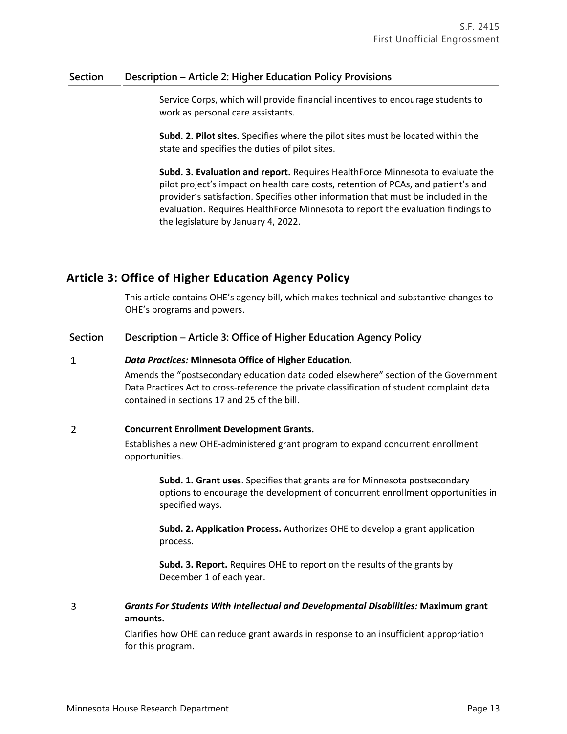Service Corps, which will provide financial incentives to encourage students to work as personal care assistants.

**Subd. 2. Pilot sites.** Specifies where the pilot sites must be located within the state and specifies the duties of pilot sites.

**Subd. 3. Evaluation and report.** Requires HealthForce Minnesota to evaluate the pilot project's impact on health care costs, retention of PCAs, and patient's and provider's satisfaction. Specifies other information that must be included in the evaluation. Requires HealthForce Minnesota to report the evaluation findings to the legislature by January 4, 2022.

# **Article 3: Office of Higher Education Agency Policy**

This article contains OHE's agency bill, which makes technical and substantive changes to OHE's programs and powers.

### **Section Description – Article 3: Office of Higher Education Agency Policy**

#### $\mathbf{1}$ *Data Practices:* **Minnesota Office of Higher Education.**

Amends the "postsecondary education data coded elsewhere" section of the Government Data Practices Act to cross-reference the private classification of student complaint data contained in sections 17 and 25 of the bill.

#### $\overline{2}$ **Concurrent Enrollment Development Grants.**

Establishes a new OHE-administered grant program to expand concurrent enrollment opportunities.

**Subd. 1. Grant uses**. Specifies that grants are for Minnesota postsecondary options to encourage the development of concurrent enrollment opportunities in specified ways.

**Subd. 2. Application Process.** Authorizes OHE to develop a grant application process.

**Subd. 3. Report.** Requires OHE to report on the results of the grants by December 1 of each year.

### $\overline{3}$ *Grants For Students With Intellectual and Developmental Disabilities:* **Maximum grant amounts.**

Clarifies how OHE can reduce grant awards in response to an insufficient appropriation for this program.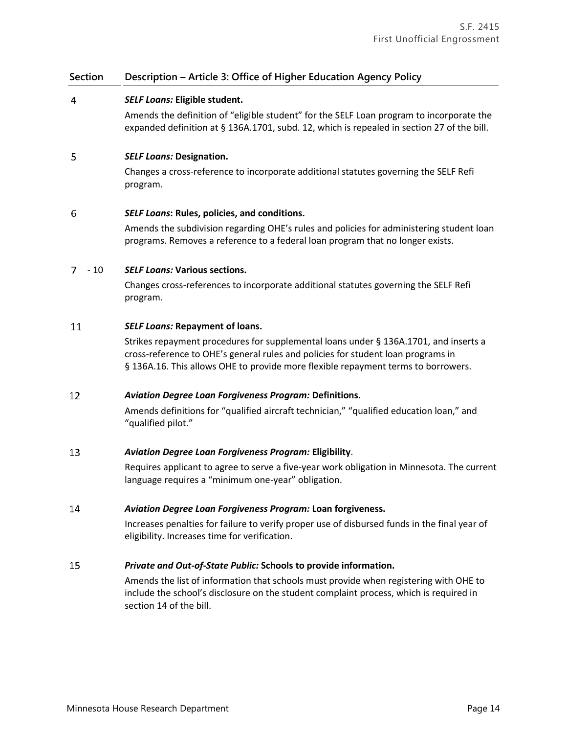### **Section Description – Article 3: Office of Higher Education Agency Policy**

#### $\overline{4}$ *SELF Loans:* **Eligible student.**

Amends the definition of "eligible student" for the SELF Loan program to incorporate the expanded definition at § 136A.1701, subd. 12, which is repealed in section 27 of the bill.

#### 5 *SELF Loans:* **Designation.**

Changes a cross-reference to incorporate additional statutes governing the SELF Refi program.

#### 6 *SELF Loans***: Rules, policies, and conditions.**

Amends the subdivision regarding OHE's rules and policies for administering student loan programs. Removes a reference to a federal loan program that no longer exists.

### - 10 *SELF Loans:* **Various sections.**

Changes cross-references to incorporate additional statutes governing the SELF Refi program.

#### 11 *SELF Loans:* **Repayment of loans.**

Strikes repayment procedures for supplemental loans under § 136A.1701, and inserts a cross-reference to OHE's general rules and policies for student loan programs in § 136A.16. This allows OHE to provide more flexible repayment terms to borrowers.

#### 12 *Aviation Degree Loan Forgiveness Program:* **Definitions.**

Amends definitions for "qualified aircraft technician," "qualified education loan," and "qualified pilot."

#### 13 *Aviation Degree Loan Forgiveness Program:* **Eligibility**.

Requires applicant to agree to serve a five-year work obligation in Minnesota. The current language requires a "minimum one-year" obligation.

#### 14 *Aviation Degree Loan Forgiveness Program:* **Loan forgiveness.**

Increases penalties for failure to verify proper use of disbursed funds in the final year of eligibility. Increases time for verification.

#### 15 *Private and Out-of-State Public:* **Schools to provide information.**

Amends the list of information that schools must provide when registering with OHE to include the school's disclosure on the student complaint process, which is required in section 14 of the bill.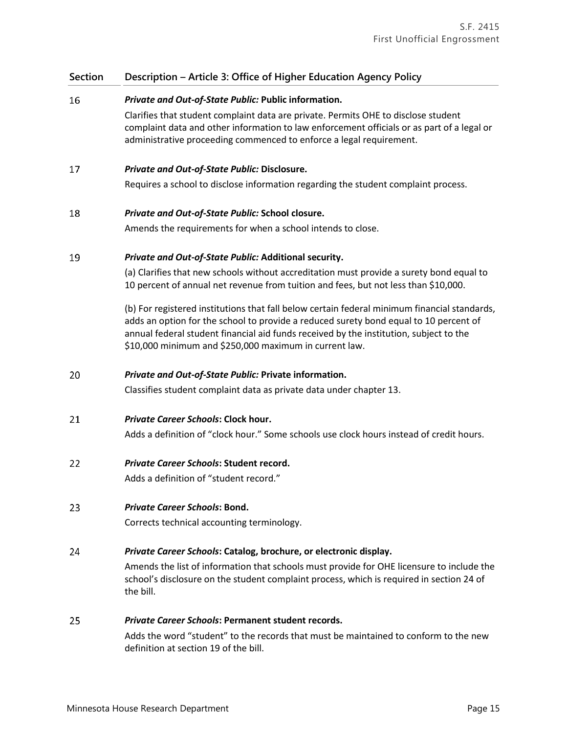### **Section Description – Article 3: Office of Higher Education Agency Policy**

#### 16 *Private and Out-of-State Public:* **Public information.**

Clarifies that student complaint data are private. Permits OHE to disclose student complaint data and other information to law enforcement officials or as part of a legal or administrative proceeding commenced to enforce a legal requirement.

#### 17 *Private and Out-of-State Public:* **Disclosure.**

Requires a school to disclose information regarding the student complaint process.

#### 18 *Private and Out-of-State Public:* **School closure.**

Amends the requirements for when a school intends to close.

#### 19 *Private and Out-of-State Public:* **Additional security.**

(a) Clarifies that new schools without accreditation must provide a surety bond equal to 10 percent of annual net revenue from tuition and fees, but not less than \$10,000.

(b) For registered institutions that fall below certain federal minimum financial standards, adds an option for the school to provide a reduced surety bond equal to 10 percent of annual federal student financial aid funds received by the institution, subject to the \$10,000 minimum and \$250,000 maximum in current law.

#### 20 *Private and Out-of-State Public:* **Private information.**

Classifies student complaint data as private data under chapter 13.

21 *Private Career Schools***: Clock hour.**

Adds a definition of "clock hour." Some schools use clock hours instead of credit hours.

#### 22 *Private Career Schools***: Student record.**

Adds a definition of "student record."

#### 23 *Private Career Schools***: Bond.**

Corrects technical accounting terminology.

#### 24 *Private Career Schools***: Catalog, brochure, or electronic display.**

Amends the list of information that schools must provide for OHE licensure to include the school's disclosure on the student complaint process, which is required in section 24 of the bill.

#### 25 *Private Career Schools***: Permanent student records.**

Adds the word "student" to the records that must be maintained to conform to the new definition at section 19 of the bill.